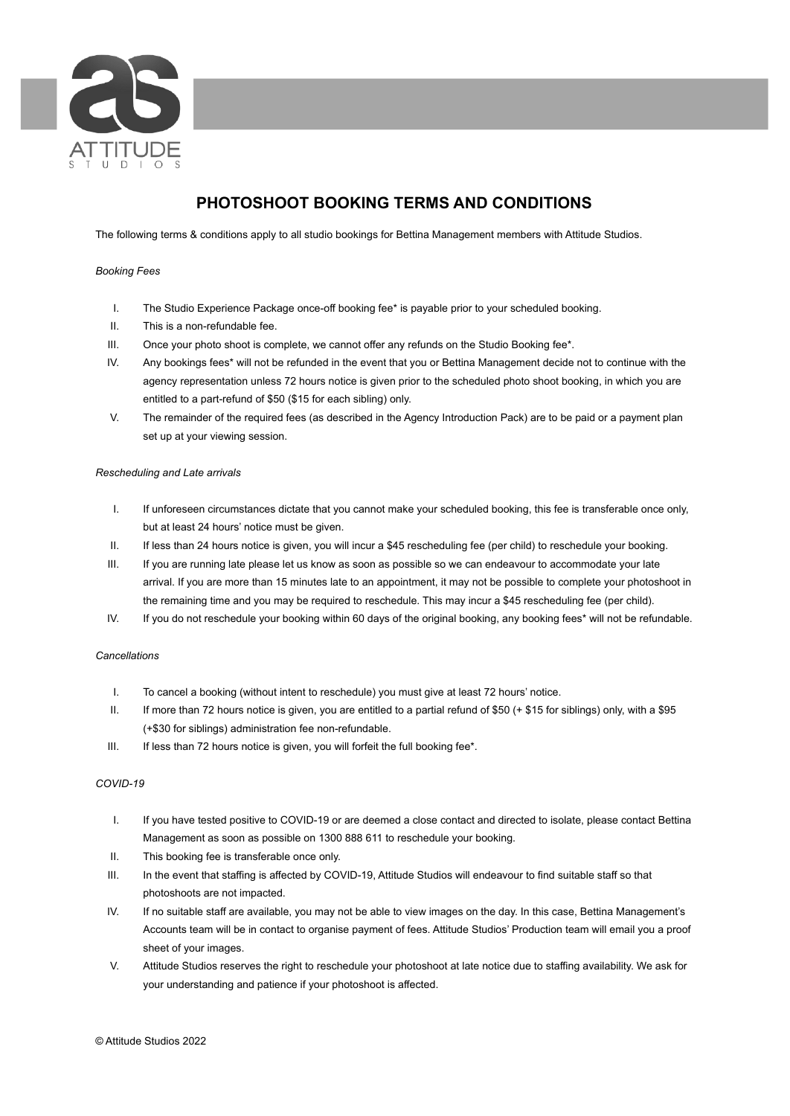

# **PHOTOSHOOT BOOKING TERMS AND CONDITIONS**

The following terms & conditions apply to all studio bookings for Bettina Management members with Attitude Studios.

# *Booking Fees*

- I. The Studio Experience Package once-off booking fee\* is payable prior to your scheduled booking.
- II. This is a non-refundable fee.
- III. Once your photo shoot is complete, we cannot offer any refunds on the Studio Booking fee\*.
- IV. Any bookings fees\* will not be refunded in the event that you or Bettina Management decide not to continue with the agency representation unless 72 hours notice is given prior to the scheduled photo shoot booking, in which you are entitled to a part-refund of \$50 (\$15 for each sibling) only.
- V. The remainder of the required fees (as described in the Agency Introduction Pack) are to be paid or a payment plan set up at your viewing session.

## *Rescheduling and Late arrivals*

- I. If unforeseen circumstances dictate that you cannot make your scheduled booking, this fee is transferable once only, but at least 24 hours' notice must be given.
- II. If less than 24 hours notice is given, you will incur a \$45 rescheduling fee (per child) to reschedule your booking.
- III. If you are running late please let us know as soon as possible so we can endeavour to accommodate your late arrival. If you are more than 15 minutes late to an appointment, it may not be possible to complete your photoshoot in the remaining time and you may be required to reschedule. This may incur a \$45 rescheduling fee (per child).
- IV. If you do not reschedule your booking within 60 days of the original booking, any booking fees\* will not be refundable.

## *Cancellations*

- I. To cancel a booking (without intent to reschedule) you must give at least 72 hours' notice.
- II. If more than 72 hours notice is given, you are entitled to a partial refund of \$50 (+ \$15 for siblings) only, with a \$95 (+\$30 for siblings) administration fee non-refundable.
- III. If less than 72 hours notice is given, you will forfeit the full booking fee\*.

# *COVID-19*

- I. If you have tested positive to COVID-19 or are deemed a close contact and directed to isolate, please contact Bettina Management as soon as possible on 1300 888 611 to reschedule your booking.
- II. This booking fee is transferable once only.
- III. In the event that staffing is affected by COVID-19, Attitude Studios will endeavour to find suitable staff so that photoshoots are not impacted.
- IV. If no suitable staff are available, you may not be able to view images on the day. In this case, Bettina Management's Accounts team will be in contact to organise payment of fees. Attitude Studios' Production team will email you a proof sheet of your images.
- V. Attitude Studios reserves the right to reschedule your photoshoot at late notice due to staffing availability. We ask for your understanding and patience if your photoshoot is affected.